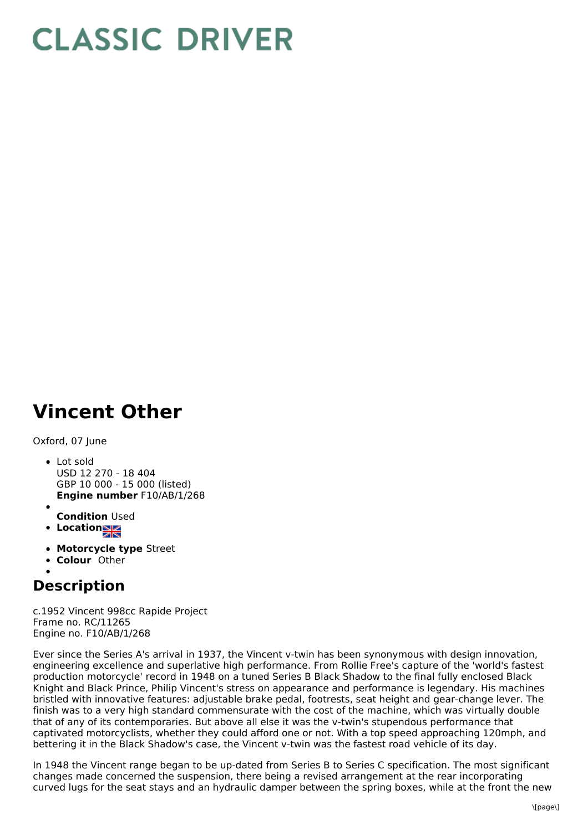## **CLASSIC DRIVER**

## **Vincent Other**

Oxford, 07 June

- **Engine number** F10/AB/1/268 • Lot sold USD 12 270 - 18 404 GBP 10 000 - 15 000 (listed)
- **Condition** Used
- **Locations**
- **Motorcycle type** Street
- **Colour** Other

## **Description**

c.1952 Vincent 998cc Rapide Project Frame no. RC/11265 Engine no. F10/AB/1/268

Ever since the Series A's arrival in 1937, the Vincent v-twin has been synonymous with design innovation, engineering excellence and superlative high performance. From Rollie Free's capture of the 'world's fastest production motorcycle' record in 1948 on a tuned Series B Black Shadow to the final fully enclosed Black Knight and Black Prince, Philip Vincent's stress on appearance and performance is legendary. His machines bristled with innovative features: adjustable brake pedal, footrests, seat height and gear-change lever. The finish was to a very high standard commensurate with the cost of the machine, which was virtually double that of any of its contemporaries. But above all else it was the v-twin's stupendous performance that captivated motorcyclists, whether they could afford one or not. With a top speed approaching 120mph, and bettering it in the Black Shadow's case, the Vincent v-twin was the fastest road vehicle of its day.

In 1948 the Vincent range began to be up-dated from Series B to Series C specification. The most significant changes made concerned the suspension, there being a revised arrangement at the rear incorporating curved lugs for the seat stays and an hydraulic damper between the spring boxes, while at the front the new